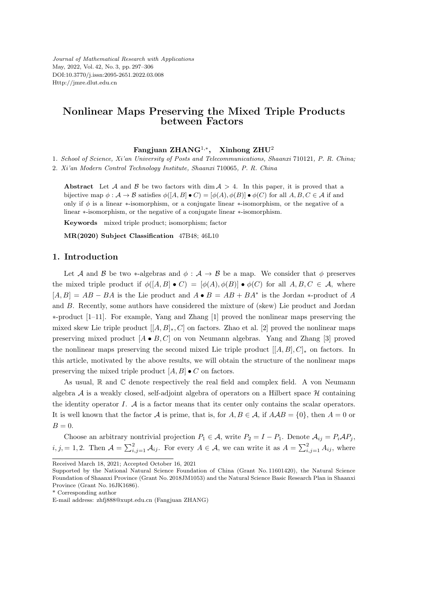*Journal of Mathematical Research with Applications* May, 2022, Vol. 42, No. 3, pp. 297–306 DOI:10.3770/j.issn:2095-2651.2022.03.008 Http://jmre.dlut.edu.cn

## **Nonlinear Maps Preserving the Mixed Triple Products between Factors**

### **Fangjuan ZHANG**<sup>1</sup>*,<sup>∗</sup>* **, Xinhong ZHU**<sup>2</sup>

1*. School of Science, Xi'an University of Posts and Telecommunications, Shaanxi* 710121*, P. R. China;*

2*. Xi'an Modern Control Technology Institute, Shaanxi* 710065*, P. R. China*

**Abstract** Let *A* and *B* be two factors with dim  $A > 4$ . In this paper, it is proved that a bijective map  $\phi : \mathcal{A} \to \mathcal{B}$  satisfies  $\phi([A, B] \bullet C) = [\phi(A), \phi(B)] \bullet \phi(C)$  for all  $A, B, C \in \mathcal{A}$  if and only if *ϕ* is a linear *∗*-isomorphism, or a conjugate linear *∗*-isomorphism, or the negative of a linear *∗*-isomorphism, or the negative of a conjugate linear *∗*-isomorphism.

**Keywords** mixed triple product; isomorphism; factor

**MR(2020) Subject Classification** 47B48; 46L10

#### **1. Introduction**

Let *A* and *B* be two *\**-algebras and  $\phi$  :  $A \rightarrow B$  be a map. We consider that  $\phi$  preserves the mixed triple product if  $\phi([A, B] \bullet C) = [\phi(A), \phi(B)] \bullet \phi(C)$  for all  $A, B, C \in \mathcal{A}$ , where  $[A, B] = AB - BA$  is the Lie product and  $A \bullet B = AB + BA^*$  is the Jordan \*-product of *A* and *B*. Recently, some authors have considered the mixture of (skew) Lie product and Jordan *∗*-product [1–11]. For example, Yang and Zhang [1] proved the nonlinear maps preserving the mixed skew Lie triple product  $[[A, B]_*, C]$  on factors. Zhao et al. [2] proved the nonlinear maps preserving mixed product [*A • B, C*] on von Neumann algebras. Yang and Zhang [3] proved the nonlinear maps preserving the second mixed Lie triple product  $[[A, B], C]_{*}$  on factors. In this article, motivated by the above results, we will obtain the structure of the nonlinear maps preserving the mixed triple product  $[A, B] \bullet C$  on factors.

As usual,  $\mathbb R$  and  $\mathbb C$  denote respectively the real field and complex field. A von Neumann algebra *A* is a weakly closed, self-adjoint algebra of operators on a Hilbert space *H* containing the identity operator *I*. *A* is a factor means that its center only contains the scalar operators. It is well known that the factor *A* is prime, that is, for  $A, B \in \mathcal{A}$ , if  $A \mathcal{A} B = \{0\}$ , then  $A = 0$  or  $B=0.$ 

Choose an arbitrary nontrivial projection  $P_1 \in \mathcal{A}$ , write  $P_2 = I - P_1$ . Denote  $\mathcal{A}_{ij} = P_i \mathcal{A} P_j$ ,  $i, j, = 1, 2$ . Then  $\mathcal{A} = \sum_{i,j=1}^{2} \mathcal{A}_{ij}$ . For every  $A \in \mathcal{A}$ , we can write it as  $A = \sum_{i,j=1}^{2} A_{ij}$ , where

Received March 18, 2021; Accepted October 16, 2021

Supported by the National Natural Science Foundation of China (Grant No. 11601420), the Natural Science Foundation of Shaanxi Province (Grant No. 2018JM1053) and the Natural Science Basic Research Plan in Shaanxi Province (Grant No. 16JK1686).

<sup>\*</sup> Corresponding author

E-mail address: zhfj888@xupt.edu.cn (Fangjuan ZHANG)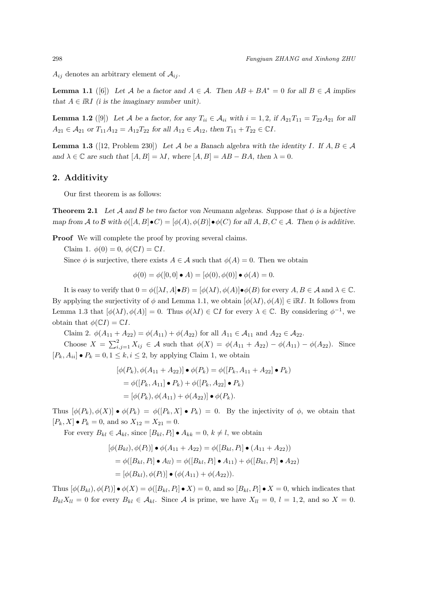$A_{ij}$  denotes an arbitrary element of  $A_{ij}$ .

**Lemma 1.1** ([6]) *Let A be a factor and*  $A \in \mathcal{A}$ *. Then*  $AB + BA^* = 0$  *for all*  $B \in \mathcal{A}$  *implies that*  $A \in \mathbb{R}$ *I (i is the imaginary number unit).* 

**Lemma 1.2** ([9]) Let *A* be a factor, for any  $T_{ii} \in A_{ii}$  with  $i = 1, 2$ , if  $A_{21}T_{11} = T_{22}A_{21}$  for all  $A_{21} \in \mathcal{A}_{21}$  *or*  $T_{11}A_{12} = A_{12}T_{22}$  *for all*  $A_{12} \in \mathcal{A}_{12}$ *, then*  $T_{11} + T_{22} \in \mathbb{C}I$ *.* 

**Lemma 1.3** ([12, Problem 230]) Let *A* be a Banach algebra with the identity *I*. If  $A, B \in \mathcal{A}$ *and*  $\lambda \in \mathbb{C}$  *are such that*  $[A, B] = \lambda I$ *, where*  $[A, B] = AB - BA$ *, then*  $\lambda = 0$ *.* 

### **2. Additivity**

Our first theorem is as follows:

**Theorem 2.1** Let  $\mathcal A$  and  $\mathcal B$  be two factor von Neumann algebras. Suppose that  $\phi$  is a bijective map from A to B with  $\phi([A, B] \bullet C) = [\phi(A), \phi(B)] \bullet \phi(C)$  for all  $A, B, C \in \mathcal{A}$ . Then  $\phi$  is additive.

**Proof** We will complete the proof by proving several claims.

Claim 1.  $\phi(0) = 0$ ,  $\phi(\mathbb{C}I) = \mathbb{C}I$ .

Since  $\phi$  is surjective, there exists  $A \in \mathcal{A}$  such that  $\phi(A) = 0$ . Then we obtain

$$
\phi(0) = \phi([0,0] \bullet A) = [\phi(0), \phi(0)] \bullet \phi(A) = 0.
$$

It is easy to verify that  $0 = \phi([\lambda I, A] \bullet B) = [\phi(\lambda I), \phi(A)] \bullet \phi(B)$  for every  $A, B \in \mathcal{A}$  and  $\lambda \in \mathbb{C}$ . By applying the surjectivity of  $\phi$  and Lemma 1.1, we obtain  $[\phi(\lambda I), \phi(A)] \in \mathbb{R}$ *I*. It follows from Lemma 1.3 that  $[\phi(\lambda I), \phi(A)] = 0$ . Thus  $\phi(\lambda I) \in \mathbb{C}I$  for every  $\lambda \in \mathbb{C}$ . By considering  $\phi^{-1}$ , we obtain that  $\phi(\mathbb{C}I) = \mathbb{C}I$ .

Claim 2.  $\phi(A_{11} + A_{22}) = \phi(A_{11}) + \phi(A_{22})$  for all  $A_{11} \in \mathcal{A}_{11}$  and  $A_{22} \in \mathcal{A}_{22}$ .

Choose  $X = \sum_{i,j=1}^{2} X_{ij}$  ∈ *A* such that  $\phi(X) = \phi(A_{11} + A_{22}) - \phi(A_{11}) - \phi(A_{22})$ . Since  $[P_k, A_{ii}] \bullet P_k = 0, 1 \leq k, i \leq 2$ , by applying Claim 1, we obtain

$$
[\phi(P_k), \phi(A_{11} + A_{22})] \bullet \phi(P_k) = \phi([P_k, A_{11} + A_{22}] \bullet P_k)
$$
  
=  $\phi([P_k, A_{11}] \bullet P_k) + \phi([P_k, A_{22}] \bullet P_k)$   
=  $[\phi(P_k), \phi(A_{11}) + \phi(A_{22})] \bullet \phi(P_k).$ 

Thus  $[\phi(P_k), \phi(X)] \bullet \phi(P_k) = \phi([P_k, X] \bullet P_k) = 0$ . By the injectivity of  $\phi$ , we obtain that  $[P_k, X] \bullet P_k = 0$ , and so  $X_{12} = X_{21} = 0$ .

For every  $B_{kl} \in \mathcal{A}_{kl}$ , since  $[B_{kl}, P_l] \bullet A_{kk} = 0, k \neq l$ , we obtain

$$
[\phi(B_{kl}), \phi(P_l)] \bullet \phi(A_{11} + A_{22}) = \phi([B_{kl}, P_l] \bullet (A_{11} + A_{22}))
$$
  
=  $\phi([B_{kl}, P_l] \bullet A_{ll}) = \phi([B_{kl}, P_l] \bullet A_{11}) + \phi([B_{kl}, P_l] \bullet A_{22})$   
=  $[\phi(B_{kl}), \phi(P_l)] \bullet (\phi(A_{11}) + \phi(A_{22})).$ 

Thus  $[\phi(B_{kl}), \phi(P_l)] \bullet \phi(X) = \phi([B_{kl}, P_l] \bullet X) = 0$ , and so  $[B_{kl}, P_l] \bullet X = 0$ , which indicates that  $B_{kl}X_{ll} = 0$  for every  $B_{kl} \in \mathcal{A}_{kl}$ . Since A is prime, we have  $X_{ll} = 0$ ,  $l = 1, 2$ , and so  $X = 0$ .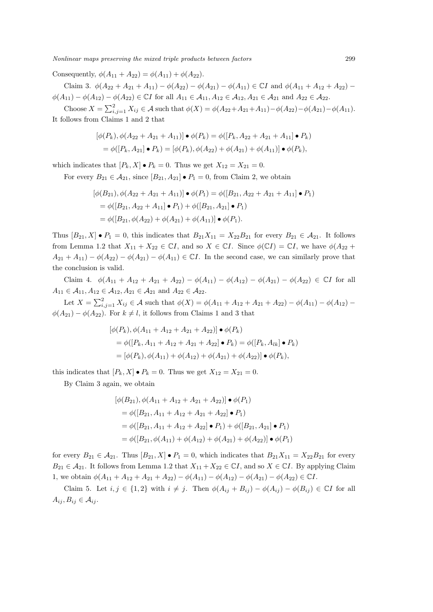Consequently,  $\phi(A_{11} + A_{22}) = \phi(A_{11}) + \phi(A_{22}).$ 

Claim 3.  $\phi(A_{22} + A_{21} + A_{11}) - \phi(A_{22}) - \phi(A_{21}) - \phi(A_{11}) \in \mathbb{C}I$  and  $\phi(A_{11} + A_{12} + A_{22}) - \phi(A_{11})$  $\phi(A_{11}) - \phi(A_{12}) - \phi(A_{22}) \in \mathbb{C}I$  for all  $A_{11} \in \mathcal{A}_{11}, A_{12} \in \mathcal{A}_{12}, A_{21} \in \mathcal{A}_{21}$  and  $A_{22} \in \mathcal{A}_{22}$ .

Choose  $X = \sum_{i,j=1}^{2} X_{ij} \in \mathcal{A}$  such that  $\phi(X) = \phi(A_{22} + A_{21} + A_{11}) - \phi(A_{22}) - \phi(A_{21}) - \phi(A_{11})$ . It follows from Claims 1 and 2 that

$$
[\phi(P_k), \phi(A_{22} + A_{21} + A_{11})] \bullet \phi(P_k) = \phi([P_k, A_{22} + A_{21} + A_{11}] \bullet P_k)
$$
  
=  $\phi([P_k, A_{21}] \bullet P_k) = [\phi(P_k), \phi(A_{22}) + \phi(A_{21}) + \phi(A_{11})] \bullet \phi(P_k),$ 

which indicates that  $[P_k, X] \bullet P_k = 0$ . Thus we get  $X_{12} = X_{21} = 0$ .

For every  $B_{21} \in \mathcal{A}_{21}$ , since  $[B_{21}, A_{21}] \bullet P_1 = 0$ , from Claim 2, we obtain

$$
[\phi(B_{21}), \phi(A_{22} + A_{21} + A_{11})] \bullet \phi(P_1) = \phi([B_{21}, A_{22} + A_{21} + A_{11}] \bullet P_1)
$$
  
=  $\phi([B_{21}, A_{22} + A_{11}] \bullet P_1) + \phi([B_{21}, A_{21}] \bullet P_1)$   
=  $\phi([B_{21}, \phi(A_{22}) + \phi(A_{21}) + \phi(A_{11})] \bullet \phi(P_1).$ 

Thus  $[B_{21}, X] \bullet P_1 = 0$ , this indicates that  $B_{21}X_{11} = X_{22}B_{21}$  for every  $B_{21} \in \mathcal{A}_{21}$ . It follows from Lemma 1.2 that  $X_{11} + X_{22} \in \mathbb{C}I$ , and so  $X \in \mathbb{C}I$ . Since  $\phi(\mathbb{C}I) = \mathbb{C}I$ , we have  $\phi(A_{22} +$  $A_{21} + A_{11}$  *−*  $\phi(A_{22}) - \phi(A_{21}) - \phi(A_{11}) \in \mathbb{C}I$ . In the second case, we can similarly prove that the conclusion is valid.

Claim 4.  $\phi(A_{11} + A_{12} + A_{21} + A_{22}) - \phi(A_{11}) - \phi(A_{12}) - \phi(A_{21}) - \phi(A_{22}) \in \mathbb{C}I$  for all  $A_{11} \in \mathcal{A}_{11}, A_{12} \in \mathcal{A}_{12}, A_{21} \in \mathcal{A}_{21}$  and  $A_{22} \in \mathcal{A}_{22}$ .

Let  $X = \sum_{i,j=1}^{2} X_{ij} \in \mathcal{A}$  such that  $\phi(X) = \phi(A_{11} + A_{12} + A_{21} + A_{22}) - \phi(A_{11}) - \phi(A_{12}) - \phi(A_{21})$  $\phi(A_{21}) - \phi(A_{22})$ . For  $k \neq l$ , it follows from Claims 1 and 3 that

$$
[\phi(P_k), \phi(A_{11} + A_{12} + A_{21} + A_{22})] \bullet \phi(P_k)
$$
  
=  $\phi([P_k, A_{11} + A_{12} + A_{21} + A_{22}] \bullet P_k) = \phi([P_k, A_{lk}] \bullet P_k)$   
=  $[\phi(P_k), \phi(A_{11}) + \phi(A_{12}) + \phi(A_{21}) + \phi(A_{22})] \bullet \phi(P_k),$ 

this indicates that  $[P_k, X] \bullet P_k = 0$ . Thus we get  $X_{12} = X_{21} = 0$ .

By Claim 3 again, we obtain

$$
[\phi(B_{21}), \phi(A_{11} + A_{12} + A_{21} + A_{22})] \bullet \phi(P_1)
$$
  
=  $\phi([B_{21}, A_{11} + A_{12} + A_{21} + A_{22}] \bullet P_1)$   
=  $\phi([B_{21}, A_{11} + A_{12} + A_{22}] \bullet P_1) + \phi([B_{21}, A_{21}] \bullet P_1)$   
=  $\phi([B_{21}, \phi(A_{11}) + \phi(A_{12}) + \phi(A_{21}) + \phi(A_{22})] \bullet \phi(P_1)$ 

for every  $B_{21} \in \mathcal{A}_{21}$ . Thus  $[B_{21}, X] \bullet P_1 = 0$ , which indicates that  $B_{21}X_{11} = X_{22}B_{21}$  for every  $B_{21} \in \mathcal{A}_{21}$ . It follows from Lemma 1.2 that  $X_{11} + X_{22} \in \mathbb{C}I$ , and so  $X \in \mathbb{C}I$ . By applying Claim 1, we obtain  $\phi(A_{11} + A_{12} + A_{21} + A_{22}) - \phi(A_{11}) - \phi(A_{12}) - \phi(A_{21}) - \phi(A_{22}) \in \mathbb{C}I$ .

Claim 5. Let  $i, j \in \{1,2\}$  with  $i \neq j$ . Then  $\phi(A_{ij} + B_{ij}) - \phi(A_{ij}) - \phi(B_{ij}) \in \mathbb{C}I$  for all  $A_{ij}, B_{ij} \in \mathcal{A}_{ij}$ .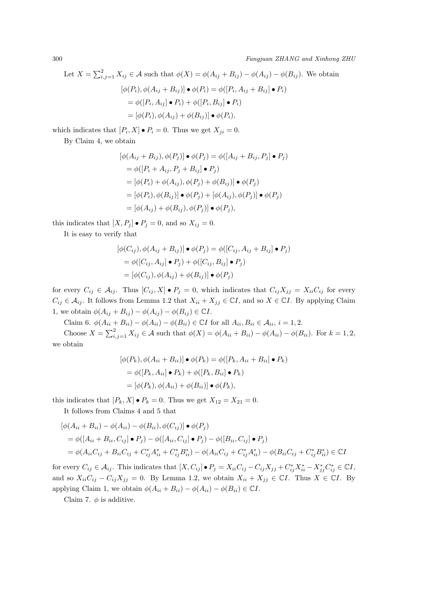Let 
$$
X = \sum_{i,j=1}^{2} X_{ij} \in \mathcal{A}
$$
 such that  $\phi(X) = \phi(A_{ij} + B_{ij}) - \phi(A_{ij}) - \phi(B_{ij})$ . We obtain  
\n
$$
[\phi(P_i), \phi(A_{ij} + B_{ij})] \bullet \phi(P_i) = \phi([P_i, A_{ij} + B_{ij}] \bullet P_i)
$$
\n
$$
= \phi([P_i, A_{ij}] \bullet P_i) + \phi([P_i, B_{ij}] \bullet P_i)
$$
\n
$$
= [\phi(P_i), \phi(A_{ij}) + \phi(B_{ij})] \bullet \phi(P_i),
$$

which indicates that  $[P_i, X] \bullet P_i = 0$ . Thus we get  $X_{ji} = 0$ .

By Claim 4, we obtain

$$
[\phi(A_{ij} + B_{ij}), \phi(P_j)] \bullet \phi(P_j) = \phi([A_{ij} + B_{ij}, P_j] \bullet P_j)
$$
  
\n
$$
= \phi([P_i + A_{ij}, P_j + B_{ij}] \bullet P_j)
$$
  
\n
$$
= [\phi(P_i) + \phi(A_{ij}), \phi(P_j) + \phi(B_{ij})] \bullet \phi(P_j)
$$
  
\n
$$
= [\phi(P_i), \phi(B_{ij})] \bullet \phi(P_j) + [\phi(A_{ij}), \phi(P_j)] \bullet \phi(P_j)
$$
  
\n
$$
= [\phi(A_{ij}) + \phi(B_{ij}), \phi(P_j)] \bullet \phi(P_j),
$$

this indicates that  $[X, P_j] \bullet P_j = 0$ , and so  $X_{ij} = 0$ .

It is easy to verify that

$$
[\phi(C_{ij}), \phi(A_{ij} + B_{ij})] \bullet \phi(P_j) = \phi([C_{ij}, A_{ij} + B_{ij}] \bullet P_j)
$$
  
=  $\phi([C_{ij}, A_{ij}] \bullet P_j) + \phi([C_{ij}, B_{ij}] \bullet P_j)$   
=  $[\phi(C_{ij}), \phi(A_{ij}) + \phi(B_{ij})] \bullet \phi(P_j)$ 

for every  $C_{ij} \in \mathcal{A}_{ij}$ . Thus  $[C_{ij}, X] \bullet P_j = 0$ , which indicates that  $C_{ij}X_{jj} = X_{ii}C_{ij}$  for every *C*<sup>*ij*</sup> ∈  $A$ <sup>*ij*</sup>. It follows from Lemma 1.2 that  $X_{ii} + X_{jj}$  ∈  $\mathbb{C}I$ , and so  $X$  ∈  $\mathbb{C}I$ . By applying Claim 1, we obtain  $\phi(A_{ij} + B_{ij}) - \phi(A_{ij}) - \phi(B_{ij}) \in \mathbb{C}I$ .

Claim 6.  $\phi(A_{ii} + B_{ii}) - \phi(A_{ii}) - \phi(B_{ii}) \in \mathbb{C}I$  for all  $A_{ii}, B_{ii} \in \mathcal{A}_{ii}, i = 1, 2$ .

Choose  $X = \sum_{i,j=1}^{2} X_{ij} \in \mathcal{A}$  such that  $\phi(X) = \phi(A_{ii} + B_{ii}) - \phi(A_{ii}) - \phi(B_{ii})$ . For  $k = 1, 2$ , we obtain

$$
[\phi(P_k), \phi(A_{ii} + B_{ii})] \bullet \phi(P_k) = \phi([P_k, A_{ii} + B_{ii}] \bullet P_k)
$$
  
=  $\phi([P_k, A_{ii}] \bullet P_k) + \phi([P_k, B_{ii}] \bullet P_k)$   
=  $[\phi(P_k), \phi(A_{ii}) + \phi(B_{ii})] \bullet \phi(P_k),$ 

this indicates that  $[P_k, X] \bullet P_k = 0$ . Thus we get  $X_{12} = X_{21} = 0$ .

It follows from Claims 4 and 5 that

$$
[\phi(A_{ii} + B_{ii}) - \phi(A_{ii}) - \phi(B_{ii}), \phi(C_{ij})] \bullet \phi(P_j)
$$
  
=  $\phi([A_{ii} + B_{ii}, C_{ij}] \bullet P_j) - \phi([A_{ii}, C_{ij}] \bullet P_j) - \phi([B_{ii}, C_{ij}] \bullet P_j)$   
=  $\phi(A_{ii}C_{ij} + B_{ii}C_{ij} + C_{ij}^*A_{ii}^* + C_{ij}^*B_{ii}^*) - \phi(A_{ii}C_{ij} + C_{ij}^*A_{ii}^*) - \phi(B_{ii}C_{ij} + C_{ij}^*B_{ii}^*) \in \mathbb{C}I$ 

for every  $C_{ij} \in \mathcal{A}_{ij}$ . This indicates that  $[X, C_{ij}] \bullet P_j = X_{ii}C_{ij} - C_{ij}X_{jj} + C_{ij}^*X_{ii}^* - X_{jj}^*C_{ij}^* \in \mathbb{C}I$ , and so  $X_{ii}C_{ij} - C_{ij}X_{jj} = 0$ . By Lemma 1.2, we obtain  $X_{ii} + X_{jj} \in \mathbb{C}I$ . Thus  $X \in \mathbb{C}I$ . By applying Claim 1, we obtain  $\phi(A_{ii} + B_{ii}) - \phi(A_{ii}) - \phi(B_{ii}) \in \mathbb{C}I$ .

Claim 7.  $\phi$  is additive.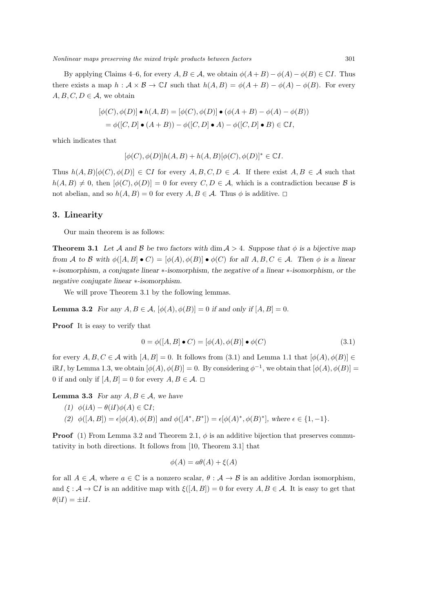*Nonlinear maps preserving the mixed triple products between factors* 301

By applying Claims 4–6, for every  $A, B \in \mathcal{A}$ , we obtain  $\phi(A+B) - \phi(A) - \phi(B) \in \mathbb{C}I$ . Thus there exists a map  $h : \mathcal{A} \times \mathcal{B} \to \mathbb{C}I$  such that  $h(A, B) = \phi(A + B) - \phi(A) - \phi(B)$ . For every  $A, B, C, D \in \mathcal{A}$ , we obtain

$$
[\phi(C), \phi(D)] \bullet h(A, B) = [\phi(C), \phi(D)] \bullet (\phi(A + B) - \phi(A) - \phi(B))
$$
  
=  $\phi([C, D] \bullet (A + B)) - \phi([C, D] \bullet A) - \phi([C, D] \bullet B) \in \mathbb{C}I$ ,

which indicates that

$$
[\phi(C), \phi(D)]h(A, B) + h(A, B)[\phi(C), \phi(D)]^* \in \mathbb{C}I.
$$

Thus  $h(A, B)[\phi(C), \phi(D)] \in \mathbb{C}I$  for every  $A, B, C, D \in \mathcal{A}$ . If there exist  $A, B \in \mathcal{A}$  such that  $h(A, B) \neq 0$ , then  $[\phi(C), \phi(D)] = 0$  for every  $C, D \in \mathcal{A}$ , which is a contradiction because *B* is not abelian, and so  $h(A, B) = 0$  for every  $A, B \in \mathcal{A}$ . Thus  $\phi$  is additive.  $\Box$ 

#### **3. Linearity**

Our main theorem is as follows:

**Theorem 3.1** Let A and B be two factors with dim  $A > 4$ . Suppose that  $\phi$  is a bijective map from A to B with  $\phi([A, B] \bullet C) = [\phi(A), \phi(B)] \bullet \phi(C)$  for all  $A, B, C \in \mathcal{A}$ . Then  $\phi$  is a linear *∗-isomorphism, a conjugate linear ∗-isomorphism, the negative of a linear ∗-isomorphism, or the negative conjugate linear ∗-isomorphism.*

We will prove Theorem 3.1 by the following lemmas.

**Lemma 3.2** *For any*  $A, B \in \mathcal{A}$ ,  $[\phi(A), \phi(B)] = 0$  *if and only if*  $[A, B] = 0$ *.* 

**Proof** It is easy to verify that

$$
0 = \phi([A, B] \bullet C) = [\phi(A), \phi(B)] \bullet \phi(C)
$$
\n(3.1)

for every  $A, B, C \in \mathcal{A}$  with  $[A, B] = 0$ . It follows from (3.1) and Lemma 1.1 that  $[\phi(A), \phi(B)] \in$ iR*I*, by Lemma 1.3, we obtain  $[\phi(A), \phi(B)] = 0$ . By considering  $\phi^{-1}$ , we obtain that  $[\phi(A), \phi(B)] =$ 0 if and only if  $[A, B] = 0$  for every  $A, B \in \mathcal{A}$ .  $\square$ 

**Lemma 3.3** *For any*  $A, B \in \mathcal{A}$ *, we have* 

- $(1)$   $\phi(iA) \theta(iI)\phi(A) \in \mathbb{C}I;$
- (2)  $\phi([A, B]) = \epsilon[\phi(A), \phi(B)]$  and  $\phi([A^*, B^*]) = \epsilon[\phi(A)^*, \phi(B)^*],$  where  $\epsilon \in \{1, -1\}.$

**Proof** (1) From Lemma 3.2 and Theorem 2.1,  $\phi$  is an additive bijection that preserves commutativity in both directions. It follows from [10, Theorem 3.1] that

$$
\phi(A) = a\theta(A) + \xi(A)
$$

for all  $A \in \mathcal{A}$ , where  $a \in \mathbb{C}$  is a nonzero scalar,  $\theta : \mathcal{A} \to \mathcal{B}$  is an additive Jordan isomorphism, and  $\xi : \mathcal{A} \to \mathbb{C}I$  is an additive map with  $\xi([A, B]) = 0$  for every  $A, B \in \mathcal{A}$ . It is easy to get that  $\theta(iI) = \pm iI.$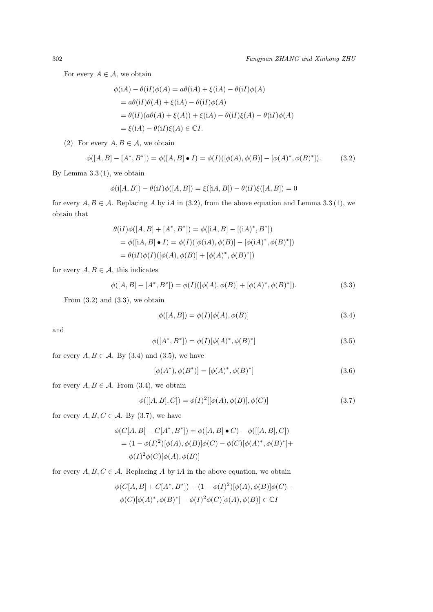For every  $A \in \mathcal{A}$ , we obtain

$$
\phi(\mathrm{i}A) - \theta(\mathrm{i}I)\phi(A) = a\theta(\mathrm{i}A) + \xi(\mathrm{i}A) - \theta(\mathrm{i}I)\phi(A)
$$
  
=  $a\theta(\mathrm{i}I)\theta(A) + \xi(\mathrm{i}A) - \theta(\mathrm{i}I)\phi(A)$   
=  $\theta(\mathrm{i}I)(a\theta(A) + \xi(A)) + \xi(\mathrm{i}A) - \theta(\mathrm{i}I)\xi(A) - \theta(\mathrm{i}I)\phi(A)$   
=  $\xi(\mathrm{i}A) - \theta(\mathrm{i}I)\xi(A) \in \mathbb{C}I$ .

(2) For every  $A, B \in \mathcal{A}$ , we obtain

$$
\phi([A, B] - [A^*, B^*]) = \phi([A, B] \bullet I) = \phi(I)([\phi(A), \phi(B)] - [\phi(A)^*, \phi(B)^*]).
$$
 (3.2)

By Lemma  $3.3(1)$ , we obtain

$$
\phi(i[A, B]) - \theta(iI)\phi([A, B]) = \xi([iA, B]) - \theta(iI)\xi([A, B]) = 0
$$

for every  $A, B \in \mathcal{A}$ . Replacing A by iA in (3.2), from the above equation and Lemma 3.3 (1), we obtain that

$$
\theta(iI)\phi([A, B] + [A^*, B^*]) = \phi([iA, B] - [(iA)^*, B^*])
$$
  
=  $\phi([iA, B] \bullet I) = \phi(I)([\phi(iA), \phi(B)] - [\phi(iA)^*, \phi(B)^*])$   
=  $\theta(iI)\phi(I)([\phi(A), \phi(B)] + [\phi(A)^*, \phi(B)^*])$ 

for every  $A, B \in \mathcal{A}$ , this indicates

$$
\phi([A, B] + [A^*, B^*]) = \phi(I)([\phi(A), \phi(B)] + [\phi(A)^*, \phi(B)^*]).
$$
\n(3.3)

From  $(3.2)$  and  $(3.3)$ , we obtain

$$
\phi([A, B]) = \phi(I)[\phi(A), \phi(B)] \tag{3.4}
$$

and

$$
\phi([A^*, B^*]) = \phi(I)[\phi(A)^*, \phi(B)^*]
$$
\n(3.5)

for every  $A, B \in \mathcal{A}$ . By (3.4) and (3.5), we have

$$
[\phi(A^*), \phi(B^*)] = [\phi(A)^*, \phi(B)^*]
$$
\n(3.6)

for every  $A, B \in \mathcal{A}$ . From (3.4), we obtain

$$
\phi([[A, B], C]) = \phi(I)^{2}[[\phi(A), \phi(B)], \phi(C)]
$$
\n(3.7)

for every  $A, B, C \in \mathcal{A}$ . By (3.7), we have

$$
\phi(C[A, B] - C[A^*, B^*]) = \phi([A, B] \bullet C) - \phi([[A, B], C])
$$
  
=  $(1 - \phi(I)^2)[\phi(A), \phi(B)]\phi(C) - \phi(C)[\phi(A)^*, \phi(B)^*] +$   

$$
\phi(I)^2 \phi(C)[\phi(A), \phi(B)]
$$

for every  $A, B, C \in \mathcal{A}$ . Replacing  $A$  by  $iA$  in the above equation, we obtain

$$
\phi(C[A, B] + C[A^*, B^*]) - (1 - \phi(I)^2)[\phi(A), \phi(B)]\phi(C) -
$$
  

$$
\phi(C)[\phi(A)^*, \phi(B)^*] - \phi(I)^2\phi(C)[\phi(A), \phi(B)] \in \mathbb{C}I
$$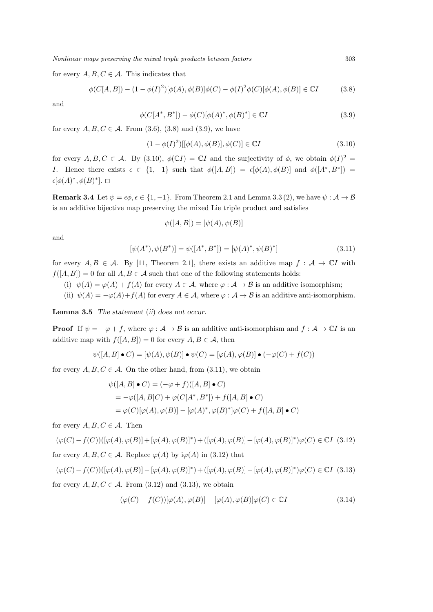for every  $A, B, C \in \mathcal{A}$ . This indicates that

$$
\phi(C[A,B]) - (1 - \phi(I)^2)[\phi(A), \phi(B)]\phi(C) - \phi(I)^2\phi(C)[\phi(A), \phi(B)] \in \mathbb{C}I
$$
 (3.8)

and

$$
\phi(C[A^*, B^*]) - \phi(C)[\phi(A)^*, \phi(B)^*] \in \mathbb{C}I
$$
\n(3.9)

for every  $A, B, C \in \mathcal{A}$ . From (3.6), (3.8) and (3.9), we have

$$
(1 - \phi(I)^2)[[\phi(A), \phi(B)], \phi(C)] \in \mathbb{C}I
$$
\n(3.10)

for every  $A, B, C \in \mathcal{A}$ . By (3.10),  $\phi(\mathbb{C}I) = \mathbb{C}I$  and the surjectivity of  $\phi$ , we obtain  $\phi(I)^2 =$ *I*. Hence there exists  $\epsilon \in \{1, -1\}$  such that  $\phi([A, B]) = \epsilon[\phi(A), \phi(B)]$  and  $\phi([A^*, B^*]) =$  $\epsilon[\phi(A)^*, \phi(B)^*]. \square$ 

**Remark 3.4** Let  $\psi = \epsilon \phi, \epsilon \in \{1, -1\}$ . From Theorem 2.1 and Lemma 3.3 (2), we have  $\psi : \mathcal{A} \to \mathcal{B}$ is an additive bijective map preserving the mixed Lie triple product and satisfies

$$
\psi([A, B]) = [\psi(A), \psi(B)]
$$

and

$$
[\psi(A^*), \psi(B^*)] = \psi([A^*, B^*]) = [\psi(A)^*, \psi(B)^*]
$$
\n(3.11)

for every  $A, B \in \mathcal{A}$ . By [11, Theorem 2.1], there exists an additive map  $f : \mathcal{A} \to \mathbb{C}I$  with  $f([A, B]) = 0$  for all  $A, B \in \mathcal{A}$  such that one of the following statements holds:

- (i)  $\psi(A) = \varphi(A) + f(A)$  for every  $A \in \mathcal{A}$ , where  $\varphi : \mathcal{A} \to \mathcal{B}$  is an additive isomorphism;
- (ii)  $\psi(A) = -\varphi(A) + f(A)$  for every  $A \in \mathcal{A}$ , where  $\varphi : \mathcal{A} \to \mathcal{B}$  is an additive anti-isomorphism.

**Lemma 3.5** *The statement* (*ii*) *does not occur.*

**Proof** If  $\psi = -\varphi + f$ , where  $\varphi : A \to B$  is an additive anti-isomorphism and  $f : A \to \mathbb{C}I$  is an additive map with  $f([A, B]) = 0$  for every  $A, B \in \mathcal{A}$ , then

$$
\psi([A, B] \bullet C) = [\psi(A), \psi(B)] \bullet \psi(C) = [\varphi(A), \varphi(B)] \bullet (-\varphi(C) + f(C))
$$

for every  $A, B, C \in \mathcal{A}$ . On the other hand, from (3.11), we obtain

$$
\psi([A, B] \bullet C) = (-\varphi + f)([A, B] \bullet C)
$$
  
=  $-\varphi([A, B]C) + \varphi(C[A^*, B^*]) + f([A, B] \bullet C)$   
=  $\varphi(C)[\varphi(A), \varphi(B)] - [\varphi(A)^*, \varphi(B)^*]\varphi(C) + f([A, B] \bullet C)$ 

for every  $A, B, C \in \mathcal{A}$ . Then

$$
(\varphi(C) - f(C))([\varphi(A), \varphi(B)] + [\varphi(A), \varphi(B)]^*) + ([\varphi(A), \varphi(B)] + [\varphi(A), \varphi(B)]^*)\varphi(C) \in \mathbb{C}I \tag{3.12}
$$

for every  $A, B, C \in \mathcal{A}$ . Replace  $\varphi(A)$  by  $i\varphi(A)$  in (3.12) that

 $(\varphi(C)-f(C))([\varphi(A),\varphi(B)]-[\varphi(A),\varphi(B)]^*)+([\varphi(A),\varphi(B)]-[\varphi(A),\varphi(B)]^*)\varphi(C)\in\mathbb{C}I$  (3.13) for every  $A, B, C \in \mathcal{A}$ . From (3.12) and (3.13), we obtain

$$
(\varphi(C) - f(C))[\varphi(A), \varphi(B)] + [\varphi(A), \varphi(B)]\varphi(C) \in \mathbb{C}I
$$
\n(3.14)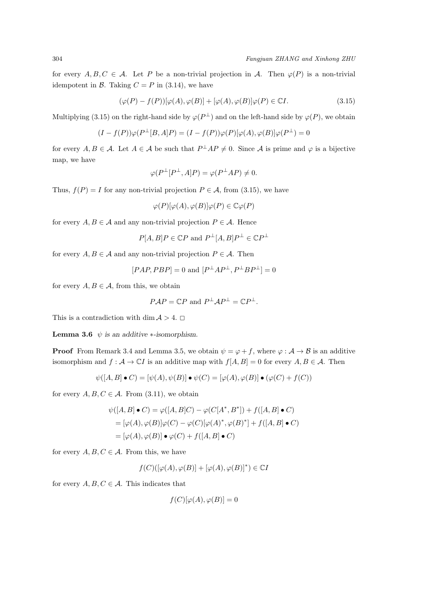for every  $A, B, C \in \mathcal{A}$ . Let *P* be a non-trivial projection in *A*. Then  $\varphi(P)$  is a non-trivial idempotent in *B*. Taking  $C = P$  in (3.14), we have

$$
(\varphi(P) - f(P))[\varphi(A), \varphi(B)] + [\varphi(A), \varphi(B)]\varphi(P) \in \mathbb{C}I.
$$
\n(3.15)

Multiplying (3.15) on the right-hand side by  $\varphi(P^{\perp})$  and on the left-hand side by  $\varphi(P)$ , we obtain

 $(I - f(P))\varphi(P^{\perp}[B, A]P) = (I - f(P))\varphi(P)[\varphi(A), \varphi(B)]\varphi(P^{\perp}) = 0$ 

for every  $A, B \in \mathcal{A}$ . Let  $A \in \mathcal{A}$  be such that  $P^{\perp}AP \neq 0$ . Since  $\mathcal{A}$  is prime and  $\varphi$  is a bijective map, we have

$$
\varphi(P^{\perp}[P^{\perp}, A]P) = \varphi(P^{\perp}AP) \neq 0.
$$

Thus,  $f(P) = I$  for any non-trivial projection  $P \in \mathcal{A}$ , from (3.15), we have

$$
\varphi(P)[\varphi(A),\varphi(B)]\varphi(P)\in\mathbb{C}\varphi(P)
$$

for every  $A, B \in \mathcal{A}$  and any non-trivial projection  $P \in \mathcal{A}$ . Hence

$$
P[A, B]P \in \mathbb{C}P
$$
 and  $P^{\perp}[A, B]P^{\perp} \in \mathbb{C}P^{\perp}$ 

for every  $A, B \in \mathcal{A}$  and any non-trivial projection  $P \in \mathcal{A}$ . Then

$$
[PAP, PBP] = 0
$$
 and  $[P^{\perp}AP^{\perp}, P^{\perp}BP^{\perp}] = 0$ 

for every  $A, B \in \mathcal{A}$ , from this, we obtain

$$
P\mathcal{A}P = \mathbb{C}P \text{ and } P^{\perp}\mathcal{A}P^{\perp} = \mathbb{C}P^{\perp}.
$$

This is a contradiction with dim  $A > 4$ .

**Lemma 3.6**  $\psi$  *is an additive \**-*isomorphism.* 

**Proof** From Remark 3.4 and Lemma 3.5, we obtain  $\psi = \varphi + f$ , where  $\varphi : A \to B$  is an additive isomorphism and  $f : \mathcal{A} \to \mathbb{C}I$  is an additive map with  $f[A, B] = 0$  for every  $A, B \in \mathcal{A}$ . Then

$$
\psi([A, B] \bullet C) = [\psi(A), \psi(B)] \bullet \psi(C) = [\varphi(A), \varphi(B)] \bullet (\varphi(C) + f(C))
$$

for every  $A, B, C \in \mathcal{A}$ . From (3.11), we obtain

$$
\psi([A, B] \bullet C) = \varphi([A, B]C) - \varphi(C[A^*, B^*]) + f([A, B] \bullet C)
$$
  
=  $[\varphi(A), \varphi(B)]\varphi(C) - \varphi(C)[\varphi(A)^*, \varphi(B)^*] + f([A, B] \bullet C)$   
=  $[\varphi(A), \varphi(B)] \bullet \varphi(C) + f([A, B] \bullet C)$ 

for every  $A, B, C \in \mathcal{A}$ . From this, we have

 $f(C)(\varphi(A), \varphi(B)) + [\varphi(A), \varphi(B)]^*) \in \mathbb{C}P$ 

for every  $A, B, C \in \mathcal{A}$ . This indicates that

$$
f(C)[\varphi(A), \varphi(B)] = 0
$$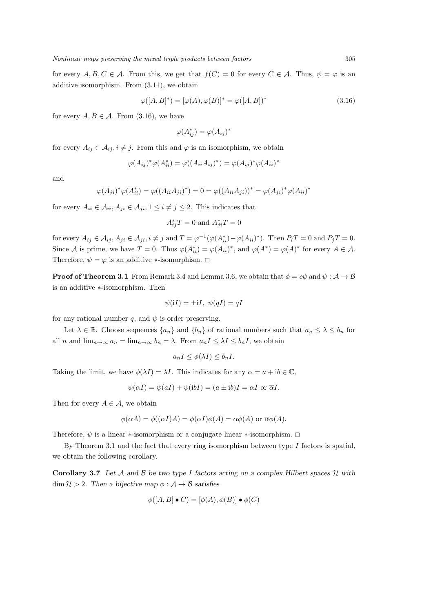for every  $A, B, C \in \mathcal{A}$ . From this, we get that  $f(C) = 0$  for every  $C \in \mathcal{A}$ . Thus,  $\psi = \varphi$  is an additive isomorphism. From (3.11), we obtain

$$
\varphi([A, B]^*) = [\varphi(A), \varphi(B)]^* = \varphi([A, B])^*
$$
\n(3.16)

for every  $A, B \in \mathcal{A}$ . From (3.16), we have

$$
\varphi(A_{ij}^*) = \varphi(A_{ij})^*
$$

for every  $A_{ij} \in \mathcal{A}_{ij}$ ,  $i \neq j$ . From this and  $\varphi$  is an isomorphism, we obtain

$$
\varphi(A_{ij})^* \varphi(A_{ii}^*) = \varphi((A_{ii}A_{ij})^*) = \varphi(A_{ij})^* \varphi(A_{ii})^*
$$

and

$$
\varphi(A_{ji})^* \varphi(A_{ii}^*) = \varphi((A_{ii} A_{ji})^*) = 0 = \varphi((A_{ii} A_{ji}))^* = \varphi(A_{ji})^* \varphi(A_{ii})^*
$$

for every  $A_{ii} \in \mathcal{A}_{ii}$ ,  $A_{ji} \in \mathcal{A}_{ii}$ ,  $1 \leq i \neq j \leq 2$ . This indicates that

$$
A_{ij}^*T = 0
$$
 and  $A_{ji}^*T = 0$ 

for every  $A_{ij} \in \mathcal{A}_{ij}$ ,  $A_{ji} \in \mathcal{A}_{ji}$ ,  $i \neq j$  and  $T = \varphi^{-1}(\varphi(A_{ii}^*) - \varphi(A_{ii})^*)$ . Then  $P_iT = 0$  and  $P_jT = 0$ . Since *A* is prime, we have  $T = 0$ . Thus  $\varphi(A_{ii}^*) = \varphi(A_{ii})^*$ , and  $\varphi(A^*) = \varphi(A)^*$  for every  $A \in \mathcal{A}$ . Therefore,  $\psi = \varphi$  is an additive *\**-isomorphism.  $\Box$ 

**Proof of Theorem 3.1** From Remark 3.4 and Lemma 3.6, we obtain that  $\phi = \epsilon \psi$  and  $\psi : \mathcal{A} \to \mathcal{B}$ is an additive *∗*-isomorphism. Then

$$
\psi(iI) = \pm iI, \ \psi(qI) = qI
$$

for any rational number *q*, and  $\psi$  is order preserving.

Let  $\lambda \in \mathbb{R}$ . Choose sequences  $\{a_n\}$  and  $\{b_n\}$  of rational numbers such that  $a_n \leq \lambda \leq b_n$  for all *n* and  $\lim_{n\to\infty} a_n = \lim_{n\to\infty} b_n = \lambda$ . From  $a_n I \leq \lambda I \leq b_n I$ , we obtain

$$
a_n I \le \phi(\lambda I) \le b_n I.
$$

Taking the limit, we have  $\phi(\lambda I) = \lambda I$ . This indicates for any  $\alpha = a + ib \in \mathbb{C}$ ,

$$
\psi(\alpha I) = \psi(aI) + \psi(\mathrm{i}bI) = (a \pm \mathrm{i}b)I = \alpha I \text{ or } \overline{\alpha}I.
$$

Then for every  $A \in \mathcal{A}$ , we obtain

$$
\phi(\alpha A) = \phi((\alpha I)A) = \phi(\alpha I)\phi(A) = \alpha \phi(A) \text{ or } \overline{\alpha}\phi(A).
$$

Therefore,  $\psi$  is a linear *\**-isomorphism or a conjugate linear *\**-isomorphism.  $\Box$ 

By Theorem 3.1 and the fact that every ring isomorphism between type *I* factors is spatial, we obtain the following corollary.

**Corollary 3.7** *Let A and B be two type I factors acting on a complex Hilbert spaces H with* dim  $H > 2$ . Then a bijective map  $\phi : A \rightarrow \mathcal{B}$  satisfies

$$
\phi([A, B] \bullet C) = [\phi(A), \phi(B)] \bullet \phi(C)
$$